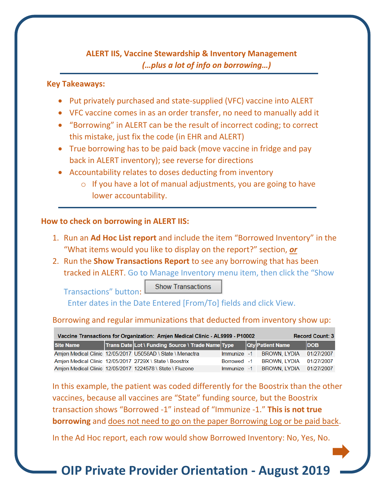## **ALERT IIS, Vaccine Stewardship & Inventory Management**   *(…plus a lot of info on borrowing…)*

#### **Key Takeaways:**

- Put privately purchased and state-supplied (VFC) vaccine into ALERT
- VFC vaccine comes in as an order transfer, no need to manually add it
- "Borrowing" in ALERT can be the result of incorrect coding; to correct this mistake, just fix the code (in EHR and ALERT)
- True borrowing has to be paid back (move vaccine in fridge and pay back in ALERT inventory); see reverse for directions
- Accountability relates to doses deducting from inventory
	- o If you have a lot of manual adjustments, you are going to have lower accountability.

#### **How to check on borrowing in ALERT IIS:**

Transactions" button:

- 1. Run an **Ad Hoc List report** and include the item "Borrowed Inventory" in the "What items would you like to display on the report?" section, *or*
- 2. Run the **Show Transactions Report** to see any borrowing that has been tracked in ALERT. Go to Manage Inventory menu item, then click the "Show

**Show Transactions** 

Enter dates in the Date Entered [From/To] fields and click View.

#### Borrowing and regular immunizations that deducted from inventory show up:

| Vaccine Transactions for Organization: Amien Medical Clinic - AL9999 - P10002 |  |                                                            |             |  |                                     | <b>Record Count: 3</b> |
|-------------------------------------------------------------------------------|--|------------------------------------------------------------|-------------|--|-------------------------------------|------------------------|
| <b>Site Name</b>                                                              |  | Trans Date Lot \ Funding Source \ Trade Name Type          |             |  | Qty Patient Name                    | <b>DOB</b>             |
|                                                                               |  | Amjen Medical Clinic 12/05/2017 U5058AD \ State \ Menactra | Immunize -1 |  | BROWN, LYDIA 01/27/2007             |                        |
|                                                                               |  | Amien Medical Clinic 12/05/2017 2729X \ State \ Boostrix   | Borrowed -1 |  | BROWN LYDIA 01/27/2007              |                        |
|                                                                               |  | Amjen Medical Clinic 12/05/2017 1224578 \ State \ Fluzone  |             |  | Immunize -1 BROWN. LYDIA 01/27/2007 |                        |

In this example, the patient was coded differently for the Boostrix than the other vaccines, because all vaccines are "State" funding source, but the Boostrix transaction shows "Borrowed -1" instead of "Immunize -1." **This is not true borrowing** and does not need to go on the paper Borrowing Log or be paid back.

In the Ad Hoc report, each row would show Borrowed Inventory: No, Yes, No.

**OIP Private Provider Orientation - August 2019**